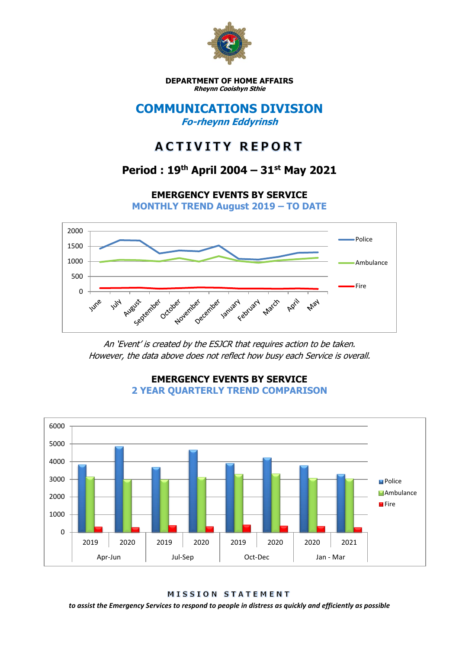

**DEPARTMENT OF HOME AFFAIRS Rheynn Cooishyn Sthie**

### **COMMUNICATIONS DIVISION Fo-rheynn Eddyrinsh**

# **ACTIVITY REPORT**

## **Period : 19th April 2004 – 31st May 2021**

**EMERGENCY EVENTS BY SERVICE**

**MONTHLY TREND August 2019 – TO DATE**



An 'Event' is created by the ESJCR that requires action to be taken. However, the data above does not reflect how busy each Service is overall.



#### **EMERGENCY EVENTS BY SERVICE 2 YEAR QUARTERLY TREND COMPARISON**

MISSION STATEMENT

*to assist the Emergency Services to respond to people in distress as quickly and efficiently as possible*